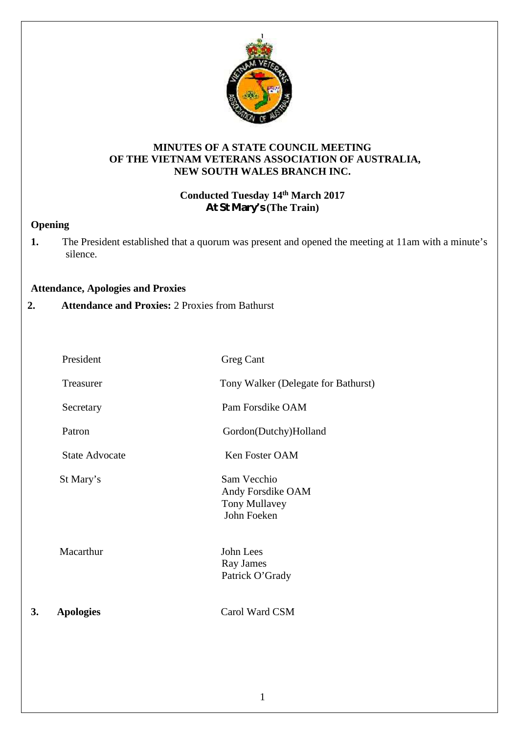

### **MINUTES OF A STATE COUNCIL MEETING OF THE VIETNAM VETERANS ASSOCIATION OF AUSTRALIA, NEW SOUTH WALES BRANCH INC.**

# **Conducted Tuesday 14 th March 2017 At St Mary's (The Train)**

# **Opening**

**1.** The President established that a quorum was present and opened the meeting at 11am with a minute's silence.

### **Attendance, Apologies and Proxies**

**2. Attendance and Proxies:** 2 Proxies from Bathurst

| 3. | <b>Apologies</b>      | Carol Ward CSM                                                   |
|----|-----------------------|------------------------------------------------------------------|
|    | Macarthur             | John Lees<br>Ray James<br>Patrick O'Grady                        |
|    | St Mary's             | Sam Vecchio<br>Andy Forsdike OAM<br>Tony Mullavey<br>John Foeken |
|    | <b>State Advocate</b> | Ken Foster OAM                                                   |
|    | Patron                | Gordon(Dutchy)Holland                                            |
|    | Secretary             | Pam Forsdike OAM                                                 |
|    | Treasurer             | Tony Walker (Delegate for Bathurst)                              |
|    | President             | <b>Greg Cant</b>                                                 |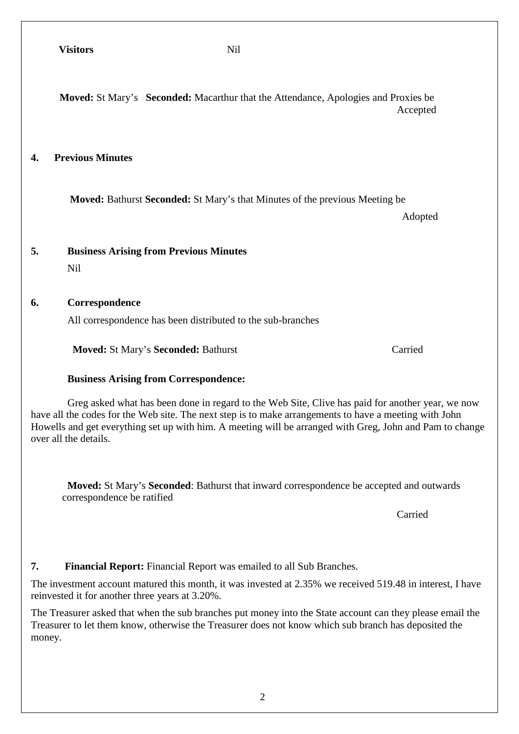**Moved:** St Mary's **Seconded:** Macarthur that the Attendance, Apologies and Proxies be Accepted

# **4. Previous Minutes**

**Moved:** Bathurst **Seconded:** St Mary's that Minutes of the previous Meeting be

Adopted

### **5. Business Arising from Previous Minutes**

Nil

### **6. Correspondence**

All correspondence has been distributed to the sub-branches

**Moved:** St Mary's **Seconded:** Bathurst Carried

### **Business Arising from Correspondence:**

Greg asked what has been done in regard to the Web Site, Clive has paid for another year, we now have all the codes for the Web site. The next step is to make arrangements to have a meeting with John Howells and get everything set up with him. A meeting will be arranged with Greg, John and Pam to change over all the details.

**Moved:** St Mary's **Seconded**: Bathurst that inward correspondence be accepted and outwards correspondence be ratified

Carried

### **7. Financial Report:** Financial Report was emailed to all Sub Branches.

The investment account matured this month, it was invested at 2.35% we received 519.48 in interest, I have reinvested it for another three years at 3.20%.

The Treasurer asked that when the sub branches put money into the State account can they please email the Treasurer to let them know, otherwise the Treasurer does not know which sub branch has deposited the money.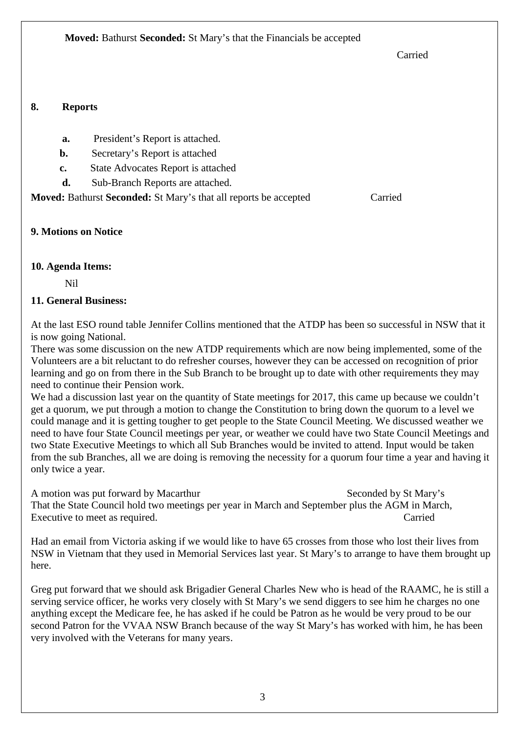Carried

# **8. Reports**

- **a.** President's Report is attached.
- **b.** Secretary's Report is attached
- **c.** State Advocates Report is attached
- **d.** Sub-Branch Reports are attached.

**Moved:** Bathurst **Seconded:** St Mary's that all reports be accepted Carried

# **9. Motions on Notice**

# **10. Agenda Items:**

Nil

# **11. General Business:**

At the last ESO round table Jennifer Collins mentioned that the ATDP has been so successful in NSW that it is now going National.

There was some discussion on the new ATDP requirements which are now being implemented, some of the Volunteers are a bit reluctant to do refresher courses, however they can be accessed on recognition of prior learning and go on from there in the Sub Branch to be brought up to date with other requirements they may need to continue their Pension work.

We had a discussion last year on the quantity of State meetings for 2017, this came up because we couldn't get a quorum, we put through a motion to change the Constitution to bring down the quorum to a level we could manage and it is getting tougher to get people to the State Council Meeting. We discussed weather we need to have four State Council meetings per year, or weather we could have two State Council Meetings and two State Executive Meetings to which all Sub Branches would be invited to attend. Input would be taken from the sub Branches, all we are doing is removing the necessity for a quorum four time a year and having it only twice a year.

A motion was put forward by Macarthur Seconded by St Mary's Seconded by St Mary's That the State Council hold two meetings per year in March and September plus the AGM in March, Executive to meet as required. Carried  $\alpha$ 

Had an email from Victoria asking if we would like to have 65 crosses from those who lost their lives from NSW in Vietnam that they used in Memorial Services last year. St Mary's to arrange to have them brought up here.

Greg put forward that we should ask Brigadier General Charles New who is head of the RAAMC, he is still a serving service officer, he works very closely with St Mary's we send diggers to see him he charges no one anything except the Medicare fee, he has asked if he could be Patron as he would be very proud to be our second Patron for the VVAA NSW Branch because of the way St Mary's has worked with him, he has been very involved with the Veterans for many years.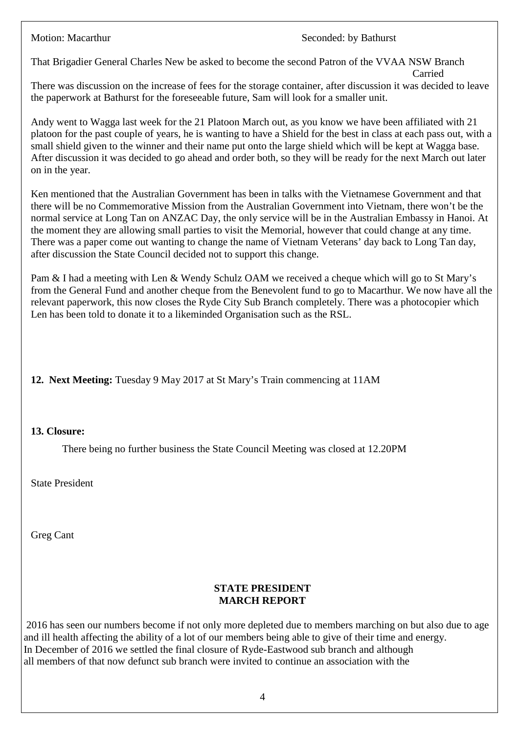Carried

That Brigadier General Charles New be asked to become the second Patron of the VVAA NSW Branch

There was discussion on the increase of fees for the storage container, after discussion it was decided to leave the paperwork at Bathurst for the foreseeable future, Sam will look for a smaller unit.

Andy went to Wagga last week for the 21 Platoon March out, as you know we have been affiliated with 21 platoon for the past couple of years, he is wanting to have a Shield for the best in class at each pass out, with a small shield given to the winner and their name put onto the large shield which will be kept at Wagga base. After discussion it was decided to go ahead and order both, so they will be ready for the next March out later on in the year.

Ken mentioned that the Australian Government has been in talks with the Vietnamese Government and that there will be no Commemorative Mission from the Australian Government into Vietnam, there won't be the normal service at Long Tan on ANZAC Day, the only service will be in the Australian Embassy in Hanoi. At the moment they are allowing small parties to visit the Memorial, however that could change at any time. There was a paper come out wanting to change the name of Vietnam Veterans' day back to Long Tan day, after discussion the State Council decided not to support this change.

Pam & I had a meeting with Len & Wendy Schulz OAM we received a cheque which will go to St Mary's from the General Fund and another cheque from the Benevolent fund to go to Macarthur. We now have all the relevant paperwork, this now closes the Ryde City Sub Branch completely. There was a photocopier which Len has been told to donate it to a likeminded Organisation such as the RSL.

**12. Next Meeting:** Tuesday 9 May 2017 at St Mary's Train commencing at 11AM

### **13. Closure:**

There being no further business the State Council Meeting was closed at 12.20PM

State President

Greg Cant

# **STATE PRESIDENT MARCH REPORT**

2016 has seen our numbers become if not only more depleted due to members marching on but also due to age and ill health affecting the ability of a lot of our members being able to give of their time and energy. In December of 2016 we settled the final closure of Ryde-Eastwood sub branch and although all members of that now defunct sub branch were invited to continue an association with the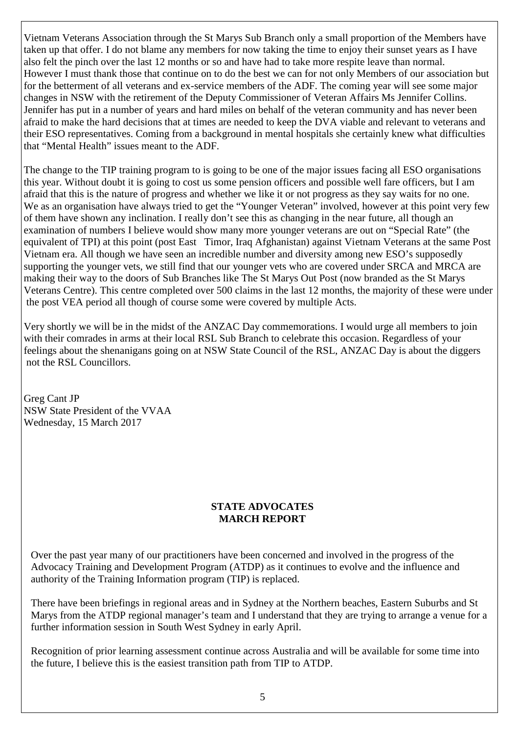Vietnam Veterans Association through the St Marys Sub Branch only a small proportion of the Members have taken up that offer. I do not blame any members for now taking the time to enjoy their sunset years as I have also felt the pinch over the last 12 months or so and have had to take more respite leave than normal. However I must thank those that continue on to do the best we can for not only Members of our association but for the betterment of all veterans and ex-service members of the ADF. The coming year will see some major changes in NSW with the retirement of the Deputy Commissioner of Veteran Affairs Ms Jennifer Collins. Jennifer has put in a number of years and hard miles on behalf of the veteran community and has never been afraid to make the hard decisions that at times are needed to keep the DVA viable and relevant to veterans and their ESO representatives. Coming from a background in mental hospitals she certainly knew what difficulties that "Mental Health" issues meant to the ADF.

The change to the TIP training program to is going to be one of the major issues facing all ESO organisations this year. Without doubt it is going to cost us some pension officers and possible well fare officers, but I am afraid that this is the nature of progress and whether we like it or not progress as they say waits for no one. We as an organisation have always tried to get the "Younger Veteran" involved, however at this point very few of them have shown any inclination. I really don't see this as changing in the near future, all though an examination of numbers I believe would show many more younger veterans are out on "Special Rate" (the equivalent of TPI) at this point (post East Timor, Iraq Afghanistan) against Vietnam Veterans at the same Post Vietnam era. All though we have seen an incredible number and diversity among new ESO's supposedly supporting the younger vets, we still find that our younger vets who are covered under SRCA and MRCA are making their way to the doors of Sub Branches like The St Marys Out Post (now branded as the St Marys Veterans Centre). This centre completed over 500 claims in the last 12 months, the majority of these were under the post VEA period all though of course some were covered by multiple Acts.

Very shortly we will be in the midst of the ANZAC Day commemorations. I would urge all members to join with their comrades in arms at their local RSL Sub Branch to celebrate this occasion. Regardless of your feelings about the shenanigans going on at NSW State Council of the RSL, ANZAC Day is about the diggers not the RSL Councillors.

Greg Cant JP NSW State President of the VVAA Wednesday, 15 March 2017

### **STATE ADVOCATES MARCH REPORT**

Over the past year many of our practitioners have been concerned and involved in the progress of the Advocacy Training and Development Program (ATDP) as it continues to evolve and the influence and authority of the Training Information program (TIP) is replaced.

There have been briefings in regional areas and in Sydney at the Northern beaches, Eastern Suburbs and St Marys from the ATDP regional manager's team and I understand that they are trying to arrange a venue for a further information session in South West Sydney in early April.

Recognition of prior learning assessment continue across Australia and will be available for some time into the future, I believe this is the easiest transition path from TIP to ATDP.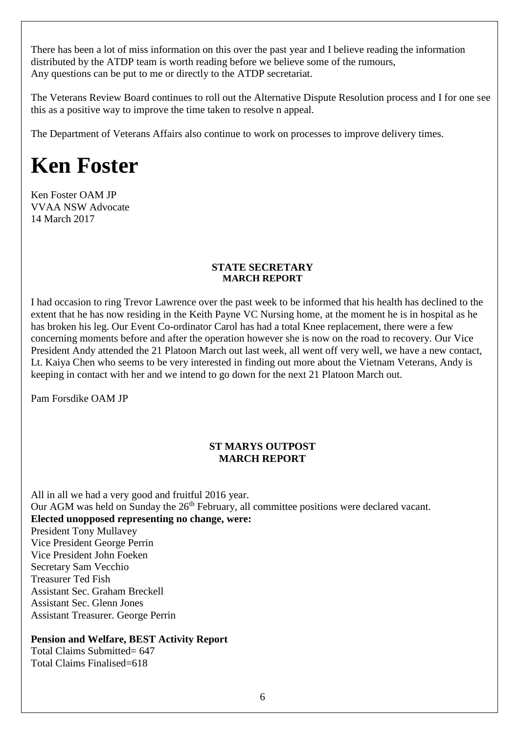There has been a lot of miss information on this over the past year and I believe reading the information distributed by the ATDP team is worth reading before we believe some of the rumours, Any questions can be put to me or directly to the ATDP secretariat.

The Veterans Review Board continues to roll out the Alternative Dispute Resolution process and I for one see this as a positive way to improve the time taken to resolve n appeal.

The Department of Veterans Affairs also continue to work on processes to improve delivery times.

# **Ken Foster**

Ken Foster OAM JP VVAA NSW Advocate 14 March 2017

### **STATE SECRETARY MARCH REPORT**

I had occasion to ring Trevor Lawrence over the past week to be informed that his health has declined to the extent that he has now residing in the Keith Payne VC Nursing home, at the moment he is in hospital as he has broken his leg. Our Event Co-ordinator Carol has had a total Knee replacement, there were a few concerning moments before and after the operation however she is now on the road to recovery. Our Vice President Andy attended the 21 Platoon March out last week, all went off very well, we have a new contact, Lt. Kaiya Chen who seems to be very interested in finding out more about the Vietnam Veterans, Andy is keeping in contact with her and we intend to go down for the next 21 Platoon March out.

Pam Forsdike OAM JP

### **ST MARYS OUTPOST MARCH REPORT**

All in all we had a very good and fruitful 2016 year. Our AGM was held on Sunday the  $26<sup>th</sup>$  February, all committee positions were declared vacant. **Elected unopposed representing no change, were:** President Tony Mullavey Vice President George Perrin Vice President John Foeken Secretary Sam Vecchio Treasurer Ted Fish Assistant Sec. Graham Breckell Assistant Sec. Glenn Jones Assistant Treasurer. George Perrin

### **Pension and Welfare, BEST Activity Report**

Total Claims Submitted= 647 Total Claims Finalised=618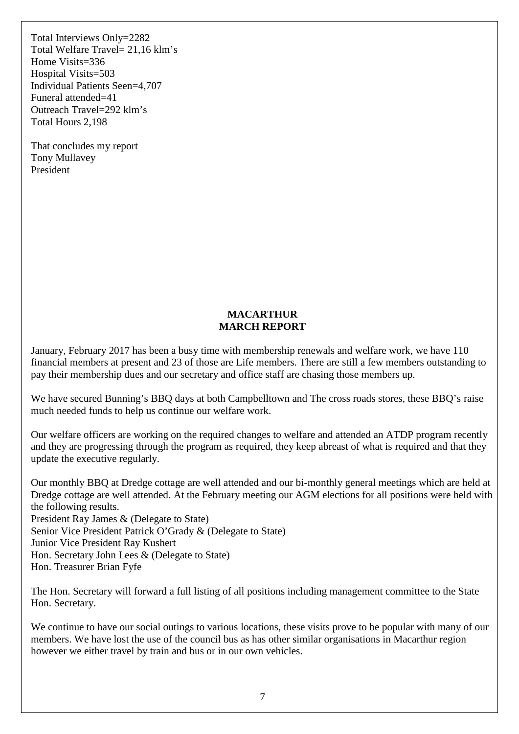Total Interviews Only=2282 Total Welfare Travel= 21,16 klm's Home Visits=336 Hospital Visits=503 Individual Patients Seen=4,707 Funeral attended=41 Outreach Travel=292 klm's Total Hours 2,198

That concludes my report Tony Mullavey President

### **MACARTHUR MARCH REPORT**

January, February 2017 has been a busy time with membership renewals and welfare work, we have 110 financial members at present and 23 of those are Life members. There are still a few members outstanding to pay their membership dues and our secretary and office staff are chasing those members up.

We have secured Bunning's BBQ days at both Campbelltown and The cross roads stores, these BBQ's raise much needed funds to help us continue our welfare work.

Our welfare officers are working on the required changes to welfare and attended an ATDP program recently and they are progressing through the program as required, they keep abreast of what is required and that they update the executive regularly.

Our monthly BBQ at Dredge cottage are well attended and our bi-monthly general meetings which are held at Dredge cottage are well attended. At the February meeting our AGM elections for all positions were held with the following results. President Ray James & (Delegate to State)

Senior Vice President Patrick O'Grady & (Delegate to State) Junior Vice President Ray Kushert Hon. Secretary John Lees & (Delegate to State) Hon. Treasurer Brian Fyfe

The Hon. Secretary will forward a full listing of all positions including management committee to the State Hon. Secretary.

We continue to have our social outings to various locations, these visits prove to be popular with many of our members. We have lost the use of the council bus as has other similar organisations in Macarthur region however we either travel by train and bus or in our own vehicles.